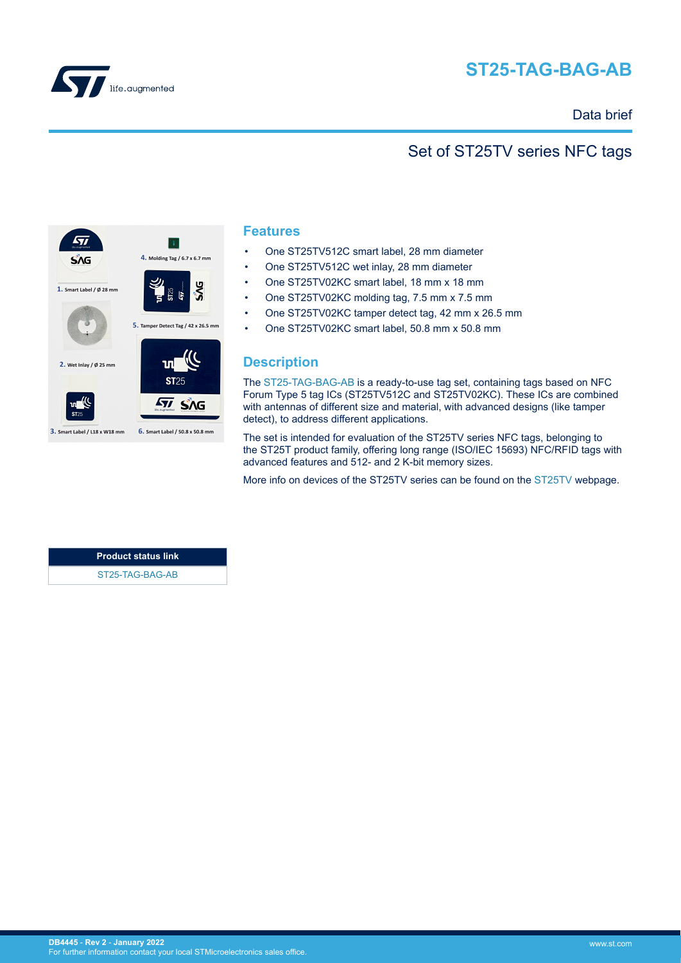<span id="page-0-0"></span>

# **ST25-TAG-BAG-AB**

### Data brief

### Set of ST25TV series NFC tags



#### **Features**

- One ST25TV512C smart label, 28 mm diameter
- One ST25TV512C wet inlay, 28 mm diameter
- One ST25TV02KC smart label, 18 mm x 18 mm
- One ST25TV02KC molding tag, 7.5 mm x 7.5 mm
- One ST25TV02KC tamper detect tag, 42 mm x 26.5 mm
- One ST25TV02KC smart label, 50.8 mm x 50.8 mm

#### **Description**

The [ST25-TAG-BAG-AB](https://www.st.com/en/product/st25-tag-bag-ab?ecmp=tt9470_gl_link_feb2019&rt=db&id=DB4445) is a ready-to-use tag set, containing tags based on NFC Forum Type 5 tag ICs (ST25TV512C and ST25TV02KC). These ICs are combined with antennas of different size and material, with advanced designs (like tamper detect), to address different applications.

The set is intended for evaluation of the ST25TV series NFC tags, belonging to the ST25T product family, offering long range (ISO/IEC 15693) NFC/RFID tags with advanced features and 512- and 2 K-bit memory sizes.

More info on devices of the ST25TV series can be found on the [ST25TV](https://www.st.com/st25tv) webpage.

**Product status link** [ST25-TAG-BAG-AB](https://www.st.com/en/product/st25-tag-bag-ab?ecmp=tt9470_gl_link_feb2019&rt=db&id=DB4445)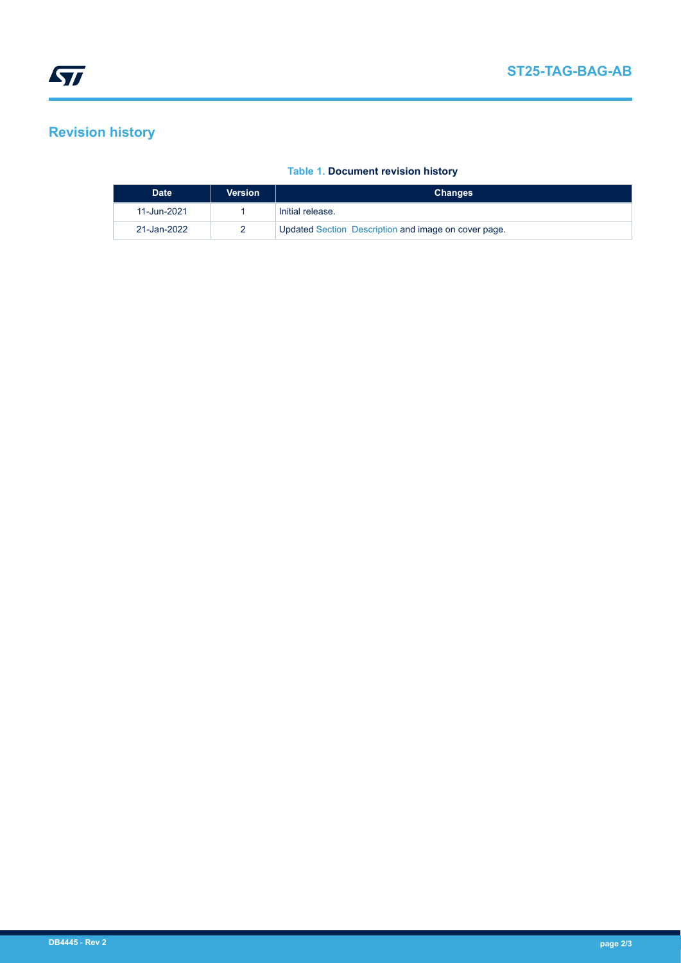## **Revision history**

#### **Table 1. Document revision history**

| <b>Date</b> | <b>Version</b> | <b>Changes</b>                                              |
|-------------|----------------|-------------------------------------------------------------|
| 11-Jun-2021 |                | Initial release.                                            |
| 21-Jan-2022 |                | <b>Updated Section Description and image on cover page.</b> |